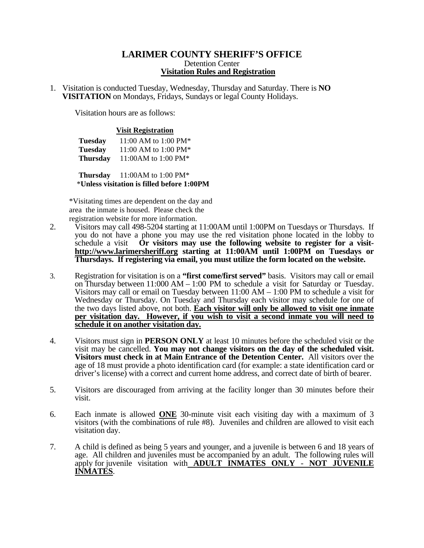## **LARIMER COUNTY SHERIFF'S OFFICE**  Detention Center **Visitation Rules and Registration**

1. Visitation is conducted Tuesday, Wednesday, Thursday and Saturday. There is **NO VISITATION** on Mondays, Fridays, Sundays or legal County Holidays.

Visitation hours are as follows:

## **Visit Registration**

| <b>Tuesday</b>  | 11:00 AM to 1:00 PM* |
|-----------------|----------------------|
| <b>Tuesday</b>  | 11:00 AM to 1:00 PM* |
| <b>Thursday</b> | 11:00AM to 1:00 PM*  |

 **Thursday** 11:00AM to 1:00 PM\* \***Unless visitation is filled before 1:00PM** 

\*Visitating times are dependent on the day and area the inmate is housed. Please check the registration website for more information.

- 2. Visitors may call 498-5204 starting at 11:00AM until 1:00PM on Tuesdays or Thursdays. If you do not have a phone you may use the red visitation phone located in the lobby to schedule a visit **Or** visitors may use the following website to register for a visit-Or visitors may use the following website to register for a visithttp://www.larimersheriff.org starting at 11:00AM until 1:00PM on Tuesdays or **Thursdays. If registering via email, you must utilize the form located on the website.**
- 3. Registration for visitation is on a **"first come/first served"** basis. Visitors may call or email on Thursday between 11:000 AM – 1:00 PM to schedule a visit for Saturday or Tuesday. Visitors may call or email on Tuesday between 11:00 AM – 1:00 PM to schedule a visit for Wednesday or Thursday. On Tuesday and Thursday each visitor may schedule for one of the two days listed above, not both. **Each visitor will only be allowed to visit one inmate per visitation day. However, if you wish to visit a second inmate you will need to schedule it on another visitation day.**
- 4. Visitors must sign in **PERSON ONLY** at least 10 minutes before the scheduled visit or the visit may be cancelled. **You may not change visitors on the day of the scheduled visit. Visitors must check in at Main Entrance of the Detention Center.** All visitors over the age of 18 must provide a photo identification card (for example: a state identification card or driver's license) with a correct and current home address, and correct date of birth of bearer.
- 5. Visitors are discouraged from arriving at the facility longer than 30 minutes before their visit.
- 6. Each inmate is allowed **ONE** 30-minute visit each visiting day with a maximum of 3 visitors (with the combinations of rule #8). Juveniles and children are allowed to visit each visitation day.
- 7. A child is defined as being 5 years and younger, and a juvenile is between 6 and 18 years of age. All children and juveniles must be accompanied by an adult. The following rules will apply for juvenile visitation with **ADULT INMATES ONLY** - **NOT JUVENILE INMATES**.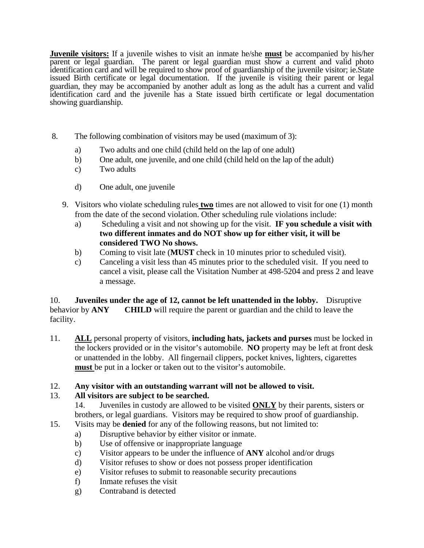**Juvenile visitors:** If a juvenile wishes to visit an inmate he/she **must** be accompanied by his/her parent or legal guardian. The parent or legal guardian must show a current and valid photo identification card and will be required to show proof of guardianship of the juvenile visitor; ie.State issued Birth certificate or legal documentation. If the juvenile is visiting their parent or legal guardian, they may be accompanied by another adult as long as the adult has a current and valid identification card and the juvenile has a State issued birth certificate or legal documentation showing guardianship.

- 8. The following combination of visitors may be used (maximum of 3):
	- a) Two adults and one child (child held on the lap of one adult)
	- b) One adult, one juvenile, and one child (child held on the lap of the adult)
	- c) Two adults
	- d) One adult, one juvenile
	- 9. Visitors who violate scheduling rules **two** times are not allowed to visit for one (1) month from the date of the second violation. Other scheduling rule violations include:
		- a) Scheduling a visit and not showing up for the visit. **IF you schedule a visit with two different inmates and do NOT show up for either visit, it will be considered TWO No shows.**
		- b) Coming to visit late (**MUST** check in 10 minutes prior to scheduled visit).
		- c) Canceling a visit less than 45 minutes prior to the scheduled visit. If you need to cancel a visit, please call the Visitation Number at 498-5204 and press 2 and leave a message.

10. **Juveniles under the age of 12, cannot be left unattended in the lobby.** Disruptive behavior by **ANY** CHILD will require the parent or guardian and the child to leave the facility.

- 11. **ALL** personal property of visitors, **including hats, jackets and purses** must be locked in the lockers provided or in the visitor's automobile. **NO** property may be left at front desk or unattended in the lobby. All fingernail clippers, pocket knives, lighters, cigarettes **must** be put in a locker or taken out to the visitor's automobile.
- 12. **Any visitor with an outstanding warrant will not be allowed to visit.**

## 13. **All visitors are subject to be searched.**

14. Juveniles in custody are allowed to be visited **ONLY** by their parents, sisters or brothers, or legal guardians. Visitors may be required to show proof of guardianship.

- 15. Visits may be **denied** for any of the following reasons, but not limited to:
	- a) Disruptive behavior by either visitor or inmate.
	- b) Use of offensive or inappropriate language
	- c) Visitor appears to be under the influence of **ANY** alcohol and/or drugs
	- d) Visitor refuses to show or does not possess proper identification
	- e) Visitor refuses to submit to reasonable security precautions
	- f) Inmate refuses the visit
	- g) Contraband is detected